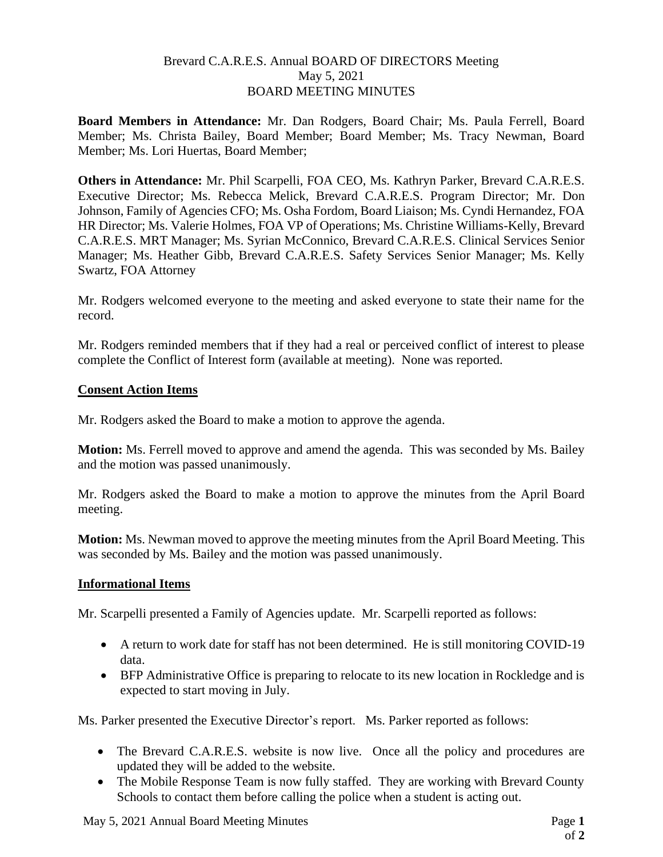# Brevard C.A.R.E.S. Annual BOARD OF DIRECTORS Meeting May 5, 2021 BOARD MEETING MINUTES

**Board Members in Attendance:** Mr. Dan Rodgers, Board Chair; Ms. Paula Ferrell, Board Member; Ms. Christa Bailey, Board Member; Board Member; Ms. Tracy Newman, Board Member; Ms. Lori Huertas, Board Member;

**Others in Attendance:** Mr. Phil Scarpelli, FOA CEO, Ms. Kathryn Parker, Brevard C.A.R.E.S. Executive Director; Ms. Rebecca Melick, Brevard C.A.R.E.S. Program Director; Mr. Don Johnson, Family of Agencies CFO; Ms. Osha Fordom, Board Liaison; Ms. Cyndi Hernandez, FOA HR Director; Ms. Valerie Holmes, FOA VP of Operations; Ms. Christine Williams-Kelly, Brevard C.A.R.E.S. MRT Manager; Ms. Syrian McConnico, Brevard C.A.R.E.S. Clinical Services Senior Manager; Ms. Heather Gibb, Brevard C.A.R.E.S. Safety Services Senior Manager; Ms. Kelly Swartz, FOA Attorney

Mr. Rodgers welcomed everyone to the meeting and asked everyone to state their name for the record.

Mr. Rodgers reminded members that if they had a real or perceived conflict of interest to please complete the Conflict of Interest form (available at meeting). None was reported.

## **Consent Action Items**

Mr. Rodgers asked the Board to make a motion to approve the agenda.

**Motion:** Ms. Ferrell moved to approve and amend the agenda. This was seconded by Ms. Bailey and the motion was passed unanimously.

Mr. Rodgers asked the Board to make a motion to approve the minutes from the April Board meeting.

**Motion:** Ms. Newman moved to approve the meeting minutes from the April Board Meeting. This was seconded by Ms. Bailey and the motion was passed unanimously.

### **Informational Items**

Mr. Scarpelli presented a Family of Agencies update. Mr. Scarpelli reported as follows:

- A return to work date for staff has not been determined. He is still monitoring COVID-19 data.
- BFP Administrative Office is preparing to relocate to its new location in Rockledge and is expected to start moving in July.

Ms. Parker presented the Executive Director's report. Ms. Parker reported as follows:

- The Brevard C.A.R.E.S. website is now live. Once all the policy and procedures are updated they will be added to the website.
- The Mobile Response Team is now fully staffed. They are working with Brevard County Schools to contact them before calling the police when a student is acting out.

May 5, 2021 Annual Board Meeting Minutes Page **1**